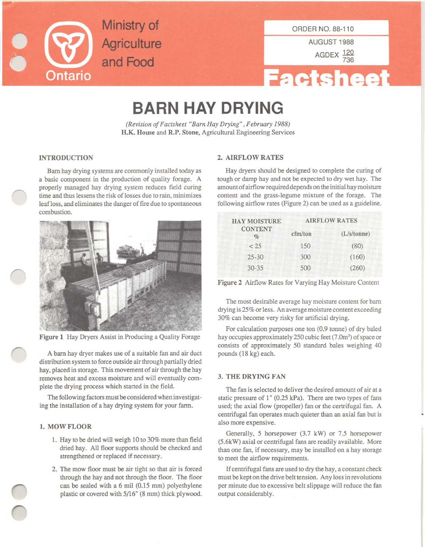

ORDER NO. 88-110

AUGUST 1988

AGDEX  $\frac{120}{736}$ 

# **Factsheet**

## **BARN HAY DRYING**

*(Revision ofFactsheet "Barn Hay Drying", February 1988)* H.K. House and R.P. Stone, Agricultural Engineering Services

Barn hay drying systems are commonly installed today as **a basic component in the production of quality forage. A** properly managed hay drying system reduces field curing **time and thus lessens the risk oflosses due to rain, minimizes** leaf loss, and eliminates the danger of fire due to spontaneous **combustion.**



Figure 1 Hay Dryers Assist in Producing a Quality Forage

A barn hay dryer makes use of a suitable fan and air duct distribution system to force outside air through partially dried hay, placed in storage. This movement of air through the hay **removes heat and excess moisture and will eventually com**plete the drying process which started in the field.

The following factors must be considered when investigating the installation of a hay drying system for your farm.

### 1. MOW FLOOR

- 1. Hay to be dried will weigh 10 to 30% more than field dried hay. All floor supports should be checked and strengthened or replaced if necessary.
- 2. The mow floor must be air tight so that air is forced through the hay and not through the floor. The floor can be sealed with a 6 mil (0.15 mm) polyethylene plastic or covered with 5/16" (8 mm) thick plywood.

#### INTRODUCTION 2. AIRFLOW RATES

Hay dryers should be designed to complete the curing of tough or damp hay and not be expected to *dry* wet hay. The **amount of**airflow required depends **onthe initial hay moisture** content and the grass-legume mixture of the forage. The following airflow rates (Figure 2) can be used as a guideline.

| <b>HAY MOISTURE</b><br><b>CONTENT</b><br>$\%$ | <b>AIRFLOW RATES</b> |             |
|-----------------------------------------------|----------------------|-------------|
|                                               | cfm/ton              | (L/s/tonne) |
| < 25                                          | 150                  | (80)        |
| $25 - 30$                                     | 300                  | (160)       |
| $30 - 35$                                     | 500                  | (260)       |

Figure 2 Airflow Rates for Varying Hay Moisture Content

**The most desirable average hay moisture content for bam drying is 25%or less. An averagemoisture content exceeding** 30% can become very risky for artificial drying.

For calculation purposes one ton (0.9 tonne) of dry baled hay occupies approximately 250 cubic feet (7.0m<sup>3</sup>) of space or consists of approximately 50 standard bales weighing 40 pounds (18 kg) each.

#### 3. THE DRYING FAN

The fan is selected to deliver the desired amount of air at a static pressure of I" (0.25 kPa). There are two types of fans used; the axial flow (propeller) fan or the certrifugal fan. A centrifugal fan operates much quieter than an axial fan but is **also more expensive.**

Generally, 5 horsepower (3.7 kW) or 7.5 horsepower (5.6kW) axial or centrifugal fans are readily available. More than one fan, if necessary, may be installed on a hay storage **to meet the airflow requirements.**

If centrifugal fans are used to dry the hay, a constant check **must be kept on the drive belt tension. Any loss in revolutions** per minute due to excessive belt slippage will reduce the fan output considerably.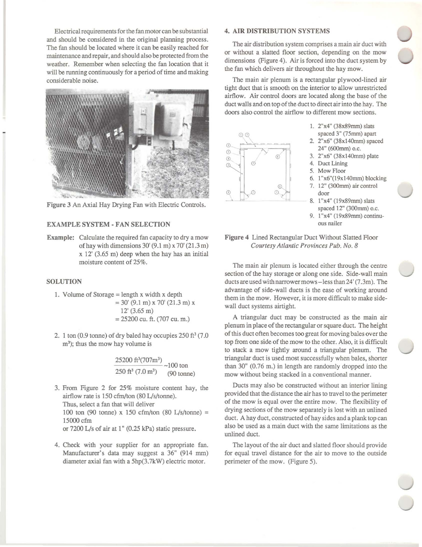Electrical requirementsfor the fan motor can be substantial and should be considered in the original planning process. The fan should be located where it can be easily reached for maintenance and repair, and should also be protected from the **weather. Remember when selecting the fan location that it** will be running continuously for a period of time and making **considerable noise.**



Figure 3 An Axial Hay Drying Fan with Electric Controls.

#### **EXAMPLE SYSTEM - FAN SELECTION**

Example: Calculate the required fan capacity to dry a mow of hay with dimensions 30' (9.1 m) x 70' (21.3 m) x 12' (3.65 m) deep when the hay has an initial **moisture content of 25%.**

#### **SOLUTION**

- 1. Volume of Storage  $=$  length x width x depth  $= 30'$  (9.1 m) x 70' (21.3 m) x 12' (3.65 m) = 25200 cu. ft. (707 cu. m.)
- 2. 1 ton  $(0.9 \text{ tonne})$  of dry baled hay occupies  $250 \text{ ft}^3$   $(7.0 \text{ ft}^3)$ **m3); thus the mow hay volume is**

$$
\frac{25200 \text{ ft}^3 (707 \text{m}^3)}{250 \text{ ft}^3 (7.0 \text{m}^3)} \sim 100 \text{ ton}
$$
  
(90 tonne)

3. From Figure 2 for 25% moisture content hay, the airflow rate is 150 cfm/ton (80 *Lls/tonne).* Thus, select a fan that will deliver 100 ton (90 tonne) x 150 cfm/ton (80 *Lls/tonne)* = 15000 cfm or 7200 *LIs* of air at 1" (0.25 kPa) static pressure.

4. Check with your supplier for an appropriate fan. Manufacturer's data may suggest a 36" (914 mm) diameter axial fan with a 5hp(3.7kW) electric motor.

#### 4. **AIR DISTRIBUTION SYSTEMS**

**The air distribution system comprises amain air duct with** or without a slatted floor section, depending on the mow dimensions (Figure 4). Air is forced into the duct system by the fan which delivers air throughout the hay mow.

The main air plenum is a rectangular plywood-lined air **tight duct that is smooth on the interior to allow unrestricted** airflow. **Air** control doors are located along the base of the duct walls and on top of the duct to direct air into the hay. The **doors also control the airflow to different mow sections.**



- 1. 2"x4" (38x89mm) slats
- 
- (;) (;) 3. 2"x6" (38xI4Omm) plate
- (i) 4. **Duct Lining**
- 5. **Mow Floor**
- 6. l"x6"(19xl40mm) blocking
- 7. 12" (300mm) air control
- door<br>8. 1"x4" (19x89mm) slats spaced 12" (300mm) o.c.
- 9. l"x4" (l9x89mm) continu**ous nailer**

**Figure** 4 Lined Rectangular Duct Without Slatted Floor *Courtesy At/antic Provinces Pub. No.8*

**The main air plenum is located either through the centre section ofthe hay storage or along one side.** Side·wall **main** ducts are used with narrowermows-less than 24' (7.3m). The advantage of side-wall ducts is the ease of working around **them in the mow. However, it is more difficult to make side**wall duct systems airtight.

A triangular duct may be constructed as the main air plenum in place of the rectangular or square duct. The height ofthis duct often becomes too great for moving bales over the top from one side of the mow to the other. Also, it is difficult to stack a mow tightly around a triangular plenum. The triangular duct is used most successfully when bales, shorter than 30" (0.76 m.) in length are randomly dropped into the **mow without being stacked in a conventional manner.**

Ducts may also be constructed without an interior lining provided that the distance the air has to travel to the perimeter **of the mow is equal over the entire mow. The flexibility of** drying sections of the mow separately is lost with an unlined duct. A hay duct, constructed of hay sides and a plank top can **also be used as a main duct with the same limitations as the** unlined duct.

The layout of the air duct and slatted floor should provide for equal travel distance for the air to move to the outside perimeter of the mow. (Figure 5).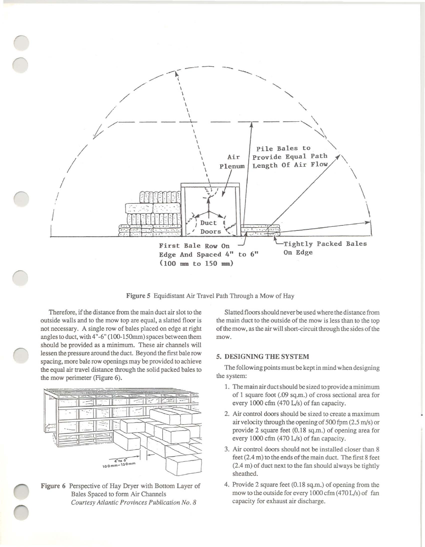

Figure 5 Equidistant Air Travel Path Through a Mow of Hay

Therefore, if the distance from the main duct air slot to the outside walls and to the mow top are equal, a slatted floor is not necessary. A single row of bales placed on edge at right angles to duct, with 4"-6" (100-150mm) spaces between them should be provided as a minimum. These air channels will lessen the pressure around the duct. Beyond the first bale row spacing, more bale row openings may be provided to achieve the equal air travel distance through the solid packed hales to the mow perimeter (Figure 6).



Figure 6 Perspective of Hay Dryer with Bottom Layer of Bales Spaced to form Air Channels *Courtesy Atlantic Provinces Pub/ieation No.8*

Slatted floors should neverbe used where the distance from the main duct to the outside of the mow is less than to the top of the mow, as the air will short-circuit through the sides of the **mow.**

#### 5. DESIGNING THE SYSTEM

The following points must be kept in mind when designing the system:

- **1.** Themain air ductshould be sized to provide a minimum of I square foot (.09 sq.m.) of cross sectional area for every 1000 cfm (470 L/s) of fan capacity.
- **2. Air control doors should be sized to create amaximum** air velocity through the opening of 500 fpm  $(2.5 \text{ m/s})$  or provide 2 square feet (0.18 sq.m.) of opening area for every 1000 cfm (470 L/s) of fan capacity.
- 3. Air control doors should not be installed closer than 8 feet (2.4 m) to the ends of the main duct. The first 8 feet (2.4 m) of duct next to the fan should always be tightly sheathed.
- 4. Provide 2 square feet (0.18 sq.m.) of opening from the mow to the outside for every  $1000$  cfm  $(470 L/s)$  of fan capacity for exhaust air discharge.